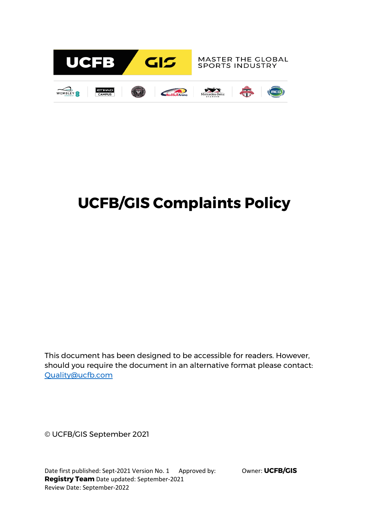

# **UCFB/GIS Complaints Policy**

This document has been designed to be accessible for readers. However, should you require the document in an alternative format please contact: [Quality@ucfb.com](mailto:Quality@ucfb.com)

© UCFB/GIS September 2021

Date first published: Sept-2021 Version No. 1 Approved by: Owner: **UCFB/GIS Registry Team** Date updated: September-2021 Review Date: September-2022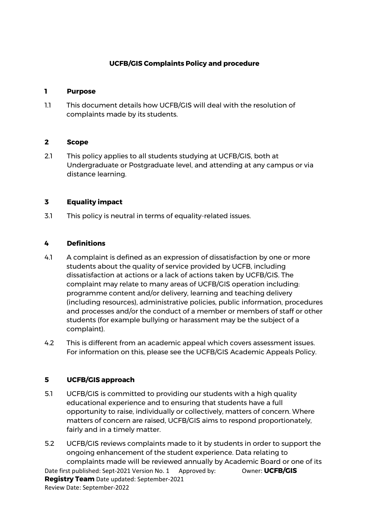# **UCFB/GIS Complaints Policy and procedure**

#### **1 Purpose**

1.1 This document details how UCFB/GIS will deal with the resolution of complaints made by its students.

#### **2 Scope**

2.1 This policy applies to all students studying at UCFB/GIS, both at Undergraduate or Postgraduate level, and attending at any campus or via distance learning.

### **3 Equality impact**

3.1 This policy is neutral in terms of equality-related issues.

## **4 Definitions**

- 4.1 A complaint is defined as an expression of dissatisfaction by one or more students about the quality of service provided by UCFB, including dissatisfaction at actions or a lack of actions taken by UCFB/GIS. The complaint may relate to many areas of UCFB/GIS operation including: programme content and/or delivery, learning and teaching delivery (including resources), administrative policies, public information, procedures and processes and/or the conduct of a member or members of staff or other students (for example bullying or harassment may be the subject of a complaint).
- 4.2 This is different from an academic appeal which covers assessment issues. For information on this, please see the UCFB/GIS Academic Appeals Policy.

### **5 UCFB/GIS approach**

- 5.1 UCFB/GIS is committed to providing our students with a high quality educational experience and to ensuring that students have a full opportunity to raise, individually or collectively, matters of concern. Where matters of concern are raised, UCFB/GIS aims to respond proportionately, fairly and in a timely matter.
- Date first published: Sept-2021 Version No. 1 Approved by: Owner: **UCFB/GIS Registry Team** Date updated: September-2021 Review Date: September-2022 5.2 UCFB/GIS reviews complaints made to it by students in order to support the ongoing enhancement of the student experience. Data relating to complaints made will be reviewed annually by Academic Board or one of its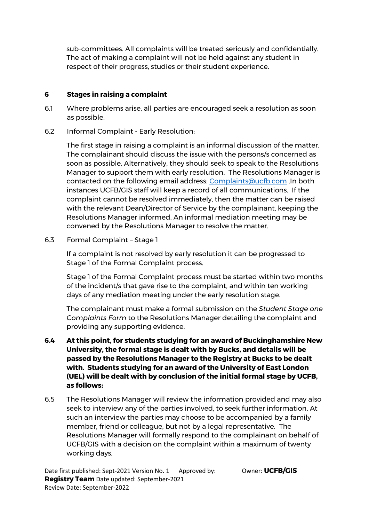sub-committees. All complaints will be treated seriously and confidentially. The act of making a complaint will not be held against any student in respect of their progress, studies or their student experience.

## **6 Stages in raising a complaint**

- 6.1 Where problems arise, all parties are encouraged seek a resolution as soon as possible.
- 6.2 Informal Complaint Early Resolution:

The first stage in raising a complaint is an informal discussion of the matter. The complainant should discuss the issue with the persons/s concerned as soon as possible. Alternatively, they should seek to speak to the Resolutions Manager to support them with early resolution. The Resolutions Manager is contacted on the following email address: [Complaints@ucfb.com](mailto:Complaints@ucfb.com) .In both instances UCFB/GIS staff will keep a record of all communications. If the complaint cannot be resolved immediately, then the matter can be raised with the relevant Dean/Director of Service by the complainant, keeping the Resolutions Manager informed. An informal mediation meeting may be convened by the Resolutions Manager to resolve the matter.

6.3 Formal Complaint – Stage 1

If a complaint is not resolved by early resolution it can be progressed to Stage 1 of the Formal Complaint process.

Stage 1 of the Formal Complaint process must be started within two months of the incident/s that gave rise to the complaint, and within ten working days of any mediation meeting under the early resolution stage.

The complainant must make a formal submission on the *Student Stage one Complaints Form* to the Resolutions Manager detailing the complaint and providing any supporting evidence.

- **6.4 At this point, for students studying for an award of Buckinghamshire New University, the formal stage is dealt with by Bucks, and details will be passed by the Resolutions Manager to the Registry at Bucks to be dealt with. Students studying for an award of the University of East London (UEL) will be dealt with by conclusion of the initial formal stage by UCFB, as follows:**
- 6.5 The Resolutions Manager will review the information provided and may also seek to interview any of the parties involved, to seek further information. At such an interview the parties may choose to be accompanied by a family member, friend or colleague, but not by a legal representative. The Resolutions Manager will formally respond to the complainant on behalf of UCFB/GIS with a decision on the complaint within a maximum of twenty working days.

Date first published: Sept-2021 Version No. 1 Approved by: Owner: **UCFB/GIS Registry Team** Date updated: September-2021 Review Date: September-2022